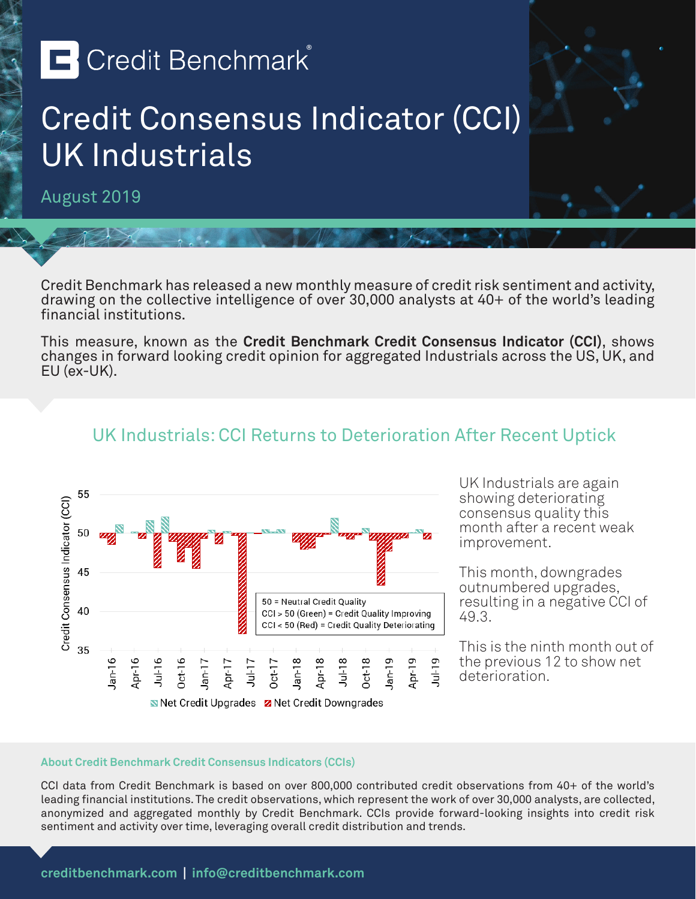# **E** Credit Benchmark®

### Credit Consensus Indicator (CCI) UK Industrials

August 2019

Credit Benchmark has released a new monthly measure of credit risk sentiment and activity, drawing on the collective intelligence of over 30,000 analysts at 40+ of the world's leading financial institutions.

This measure, known as the **Credit Benchmark Credit Consensus Indicator (CCI)**, shows changes in forward looking credit opinion for aggregated Industrials across the US, UK, and EU (ex-UK).

UK Industrials: CCI Returns to Deterioration After Recent Uptick

#### 55 Credit Consensus Indicator (CCI) 50 45 50 = Neutral Credit Quality 40 CCI > 50 (Green) = Credit Quality Improving CCI < 50 (Red) = Credit Quality Deteriorating 35  $l$ an-16  $Jul-19$  $pr-16$ Apr-18  $Jul-18$  $Dct-18$ **Apr-19**  $0$ ct-16  $Ian-17$ Apr-17 Jan-18 lan-19  $Jul-17$  $Oct-17$ Net Credit Upgrades Z Net Credit Downgrades

UK Industrials are again showing deteriorating consensus quality this month after a recent weak improvement.

This month, downgrades outnumbered upgrades, resulting in a negative CCI of 49.3.

This is the ninth month out of the previous 12 to show net deterioration.

#### **About Credit Benchmark Credit Consensus Indicators (CCIs)**

CCI data from Credit Benchmark is based on over 800,000 contributed credit observations from 40+ of the world's leading financial institutions. The credit observations, which represent the work of over 30,000 analysts, are collected, anonymized and aggregated monthly by Credit Benchmark. CCIs provide forward-looking insights into credit risk sentiment and activity over time, leveraging overall credit distribution and trends.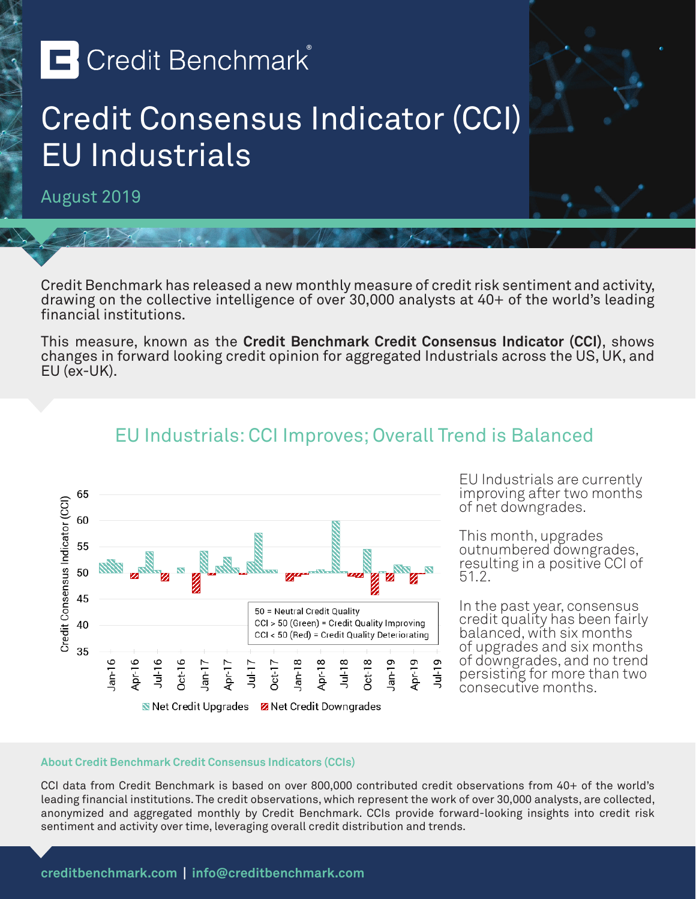# **E** Credit Benchmark®

### Credit Consensus Indicator (CCI) EU Industrials

August 2019

Credit Benchmark has released a new monthly measure of credit risk sentiment and activity, drawing on the collective intelligence of over 30,000 analysts at 40+ of the world's leading financial institutions.

This measure, known as the **Credit Benchmark Credit Consensus Indicator (CCI)**, shows changes in forward looking credit opinion for aggregated Industrials across the US, UK, and EU (ex-UK).

EU Industrials: CCI Improves; Overall Trend is Balanced



EU Industrials are currently improving after two months of net downgrades.

This month, upgrades outnumbered downgrades, resulting in a positive CCI of 51.2.

In the past year, consensus credit quality has been fairly balanced, with six months of upgrades and six months of downgrades, and no trend persisting for more than two consecutive months.

#### **About Credit Benchmark Credit Consensus Indicators (CCIs)**

CCI data from Credit Benchmark is based on over 800,000 contributed credit observations from 40+ of the world's leading financial institutions. The credit observations, which represent the work of over 30,000 analysts, are collected, anonymized and aggregated monthly by Credit Benchmark. CCIs provide forward-looking insights into credit risk sentiment and activity over time, leveraging overall credit distribution and trends.

### **creditbenchmark.com | info@creditbenchmark.com**